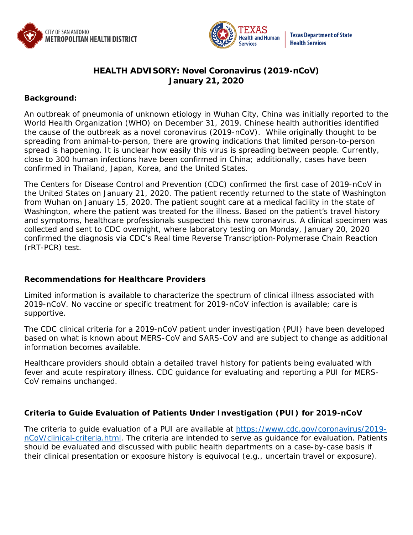



# **HEALTH ADVISORY: Novel Coronavirus (2019-nCoV) January 21, 2020**

#### **Background:**

An outbreak of pneumonia of unknown etiology in Wuhan City, China was initially reported to the World Health Organization (WHO) on December 31, 2019. Chinese health authorities identified the cause of the outbreak as a novel coronavirus (2019-nCoV). While originally thought to be spreading from animal-to-person, there are growing indications that limited person-to-person spread is happening. It is unclear how easily this virus is spreading between people. Currently, close to 300 human infections have been confirmed in China; additionally, cases have been confirmed in Thailand, Japan, Korea, and the United States.

The Centers for Disease Control and Prevention (CDC) confirmed the first case of 2019-nCoV in the United States on January 21, 2020. The patient recently returned to the state of Washington from Wuhan on January 15, 2020. The patient sought care at a medical facility in the state of Washington, where the patient was treated for the illness. Based on the patient's travel history and symptoms, healthcare professionals suspected this new coronavirus. A clinical specimen was collected and sent to CDC overnight, where laboratory testing on Monday, January 20, 2020 confirmed the diagnosis via CDC's Real time Reverse Transcription-Polymerase Chain Reaction (rRT-PCR) test.

# **Recommendations for Healthcare Providers**

Limited information is available to characterize the spectrum of clinical illness associated with 2019-nCoV. No vaccine or specific treatment for 2019-nCoV infection is available; care is supportive.

The CDC clinical criteria for a 2019-nCoV patient under investigation (PUI) have been developed based on what is known about MERS-CoV and SARS-CoV and are subject to change as additional information becomes available.

Healthcare providers should obtain a detailed travel history for patients being evaluated with fever and acute respiratory illness. CDC guidance for evaluating and reporting a PUI for MERS-CoV remains unchanged.

# **Criteria to Guide Evaluation of Patients Under Investigation (PUI) for 2019-nCoV**

The criteria to guide evaluation of a PUI are available at [https://www.cdc.gov/coronavirus/2019](https://www.cdc.gov/coronavirus/2019-nCoV/clinical-criteria.html) [nCoV/clinical-criteria.html.](https://www.cdc.gov/coronavirus/2019-nCoV/clinical-criteria.html) The criteria are intended to serve as guidance for evaluation. Patients should be evaluated and discussed with public health departments on a case-by-case basis if their clinical presentation or exposure history is equivocal (e.g., uncertain travel or exposure).